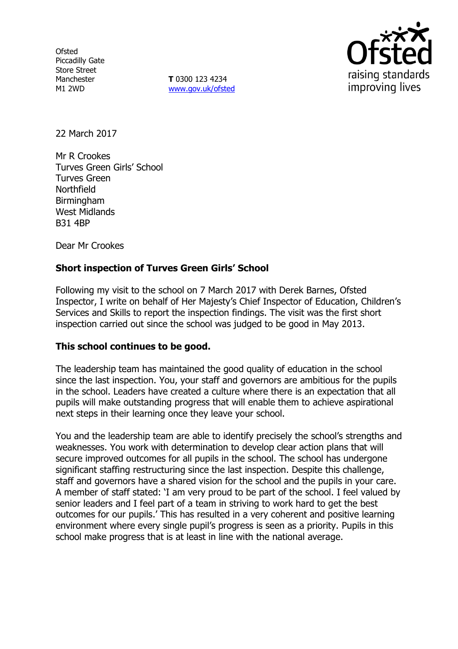**Ofsted** Piccadilly Gate Store Street Manchester M1 2WD

**T** 0300 123 4234 www.gov.uk/ofsted



22 March 2017

Mr R Crookes Turves Green Girls' School Turves Green Northfield **Birmingham** West Midlands B31 4BP

Dear Mr Crookes

## **Short inspection of Turves Green Girls' School**

Following my visit to the school on 7 March 2017 with Derek Barnes, Ofsted Inspector, I write on behalf of Her Majesty's Chief Inspector of Education, Children's Services and Skills to report the inspection findings. The visit was the first short inspection carried out since the school was judged to be good in May 2013.

## **This school continues to be good.**

The leadership team has maintained the good quality of education in the school since the last inspection. You, your staff and governors are ambitious for the pupils in the school. Leaders have created a culture where there is an expectation that all pupils will make outstanding progress that will enable them to achieve aspirational next steps in their learning once they leave your school.

You and the leadership team are able to identify precisely the school's strengths and weaknesses. You work with determination to develop clear action plans that will secure improved outcomes for all pupils in the school. The school has undergone significant staffing restructuring since the last inspection. Despite this challenge, staff and governors have a shared vision for the school and the pupils in your care. A member of staff stated: 'I am very proud to be part of the school. I feel valued by senior leaders and I feel part of a team in striving to work hard to get the best outcomes for our pupils.' This has resulted in a very coherent and positive learning environment where every single pupil's progress is seen as a priority. Pupils in this school make progress that is at least in line with the national average.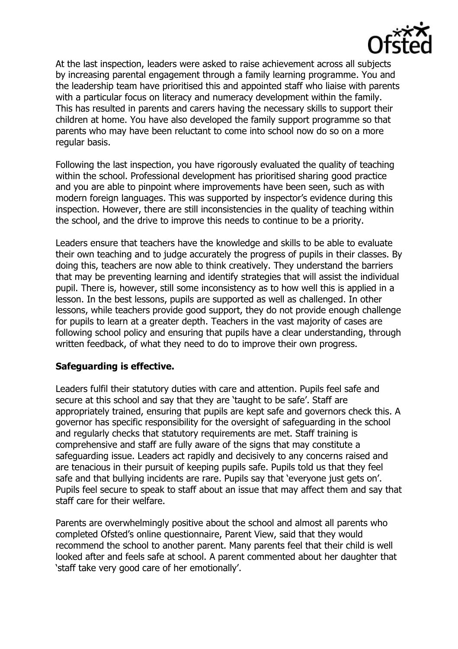

At the last inspection, leaders were asked to raise achievement across all subjects by increasing parental engagement through a family learning programme. You and the leadership team have prioritised this and appointed staff who liaise with parents with a particular focus on literacy and numeracy development within the family. This has resulted in parents and carers having the necessary skills to support their children at home. You have also developed the family support programme so that parents who may have been reluctant to come into school now do so on a more regular basis.

Following the last inspection, you have rigorously evaluated the quality of teaching within the school. Professional development has prioritised sharing good practice and you are able to pinpoint where improvements have been seen, such as with modern foreign languages. This was supported by inspector's evidence during this inspection. However, there are still inconsistencies in the quality of teaching within the school, and the drive to improve this needs to continue to be a priority.

Leaders ensure that teachers have the knowledge and skills to be able to evaluate their own teaching and to judge accurately the progress of pupils in their classes. By doing this, teachers are now able to think creatively. They understand the barriers that may be preventing learning and identify strategies that will assist the individual pupil. There is, however, still some inconsistency as to how well this is applied in a lesson. In the best lessons, pupils are supported as well as challenged. In other lessons, while teachers provide good support, they do not provide enough challenge for pupils to learn at a greater depth. Teachers in the vast majority of cases are following school policy and ensuring that pupils have a clear understanding, through written feedback, of what they need to do to improve their own progress.

## **Safeguarding is effective.**

Leaders fulfil their statutory duties with care and attention. Pupils feel safe and secure at this school and say that they are 'taught to be safe'. Staff are appropriately trained, ensuring that pupils are kept safe and governors check this. A governor has specific responsibility for the oversight of safeguarding in the school and regularly checks that statutory requirements are met. Staff training is comprehensive and staff are fully aware of the signs that may constitute a safeguarding issue. Leaders act rapidly and decisively to any concerns raised and are tenacious in their pursuit of keeping pupils safe. Pupils told us that they feel safe and that bullying incidents are rare. Pupils say that 'everyone just gets on'. Pupils feel secure to speak to staff about an issue that may affect them and say that staff care for their welfare.

Parents are overwhelmingly positive about the school and almost all parents who completed Ofsted's online questionnaire, Parent View, said that they would recommend the school to another parent. Many parents feel that their child is well looked after and feels safe at school. A parent commented about her daughter that 'staff take very good care of her emotionally'.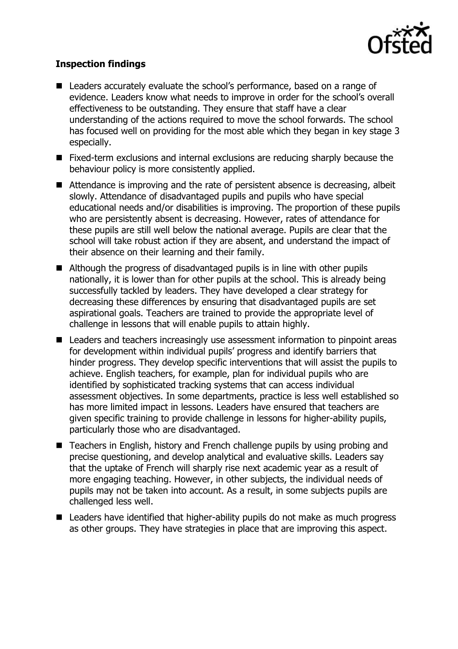

# **Inspection findings**

- Leaders accurately evaluate the school's performance, based on a range of evidence. Leaders know what needs to improve in order for the school's overall effectiveness to be outstanding. They ensure that staff have a clear understanding of the actions required to move the school forwards. The school has focused well on providing for the most able which they began in key stage 3 especially.
- Fixed-term exclusions and internal exclusions are reducing sharply because the behaviour policy is more consistently applied.
- Attendance is improving and the rate of persistent absence is decreasing, albeit slowly. Attendance of disadvantaged pupils and pupils who have special educational needs and/or disabilities is improving. The proportion of these pupils who are persistently absent is decreasing. However, rates of attendance for these pupils are still well below the national average. Pupils are clear that the school will take robust action if they are absent, and understand the impact of their absence on their learning and their family.
- Although the progress of disadvantaged pupils is in line with other pupils nationally, it is lower than for other pupils at the school. This is already being successfully tackled by leaders. They have developed a clear strategy for decreasing these differences by ensuring that disadvantaged pupils are set aspirational goals. Teachers are trained to provide the appropriate level of challenge in lessons that will enable pupils to attain highly.
- Leaders and teachers increasingly use assessment information to pinpoint areas for development within individual pupils' progress and identify barriers that hinder progress. They develop specific interventions that will assist the pupils to achieve. English teachers, for example, plan for individual pupils who are identified by sophisticated tracking systems that can access individual assessment objectives. In some departments, practice is less well established so has more limited impact in lessons. Leaders have ensured that teachers are given specific training to provide challenge in lessons for higher-ability pupils, particularly those who are disadvantaged.
- Teachers in English, history and French challenge pupils by using probing and precise questioning, and develop analytical and evaluative skills. Leaders say that the uptake of French will sharply rise next academic year as a result of more engaging teaching. However, in other subjects, the individual needs of pupils may not be taken into account. As a result, in some subjects pupils are challenged less well.
- Leaders have identified that higher-ability pupils do not make as much progress as other groups. They have strategies in place that are improving this aspect.